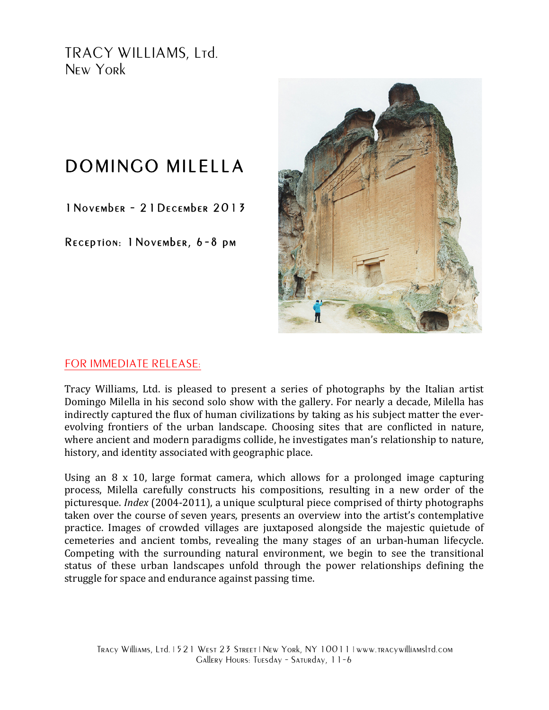TRACY WILLIAMS, Ltd. New York

## DOMINGO MILELLA

1November - 21December 2013

Reception: 1November, 6-8 pm



## FOR IMMEDIATE RELEASE:

Tracy Williams, Ltd. is pleased to present a series of photographs by the Italian artist Domingo Milella in his second solo show with the gallery. For nearly a decade, Milella has indirectly captured the flux of human civilizations by taking as his subject matter the everevolving frontiers of the urban landscape. Choosing sites that are conflicted in nature, where ancient and modern paradigms collide, he investigates man's relationship to nature, history, and identity associated with geographic place.

Using an  $8 \times 10$ , large format camera, which allows for a prolonged image capturing process, Milella carefully constructs his compositions, resulting in a new order of the picturesque. *Index* (2004-2011), a unique sculptural piece comprised of thirty photographs taken over the course of seven years, presents an overview into the artist's contemplative practice. Images of crowded villages are juxtaposed alongside the majestic quietude of cemeteries and ancient tombs, revealing the many stages of an urban-human lifecycle. Competing with the surrounding natural environment, we begin to see the transitional status of these urban landscapes unfold through the power relationships defining the struggle for space and endurance against passing time.